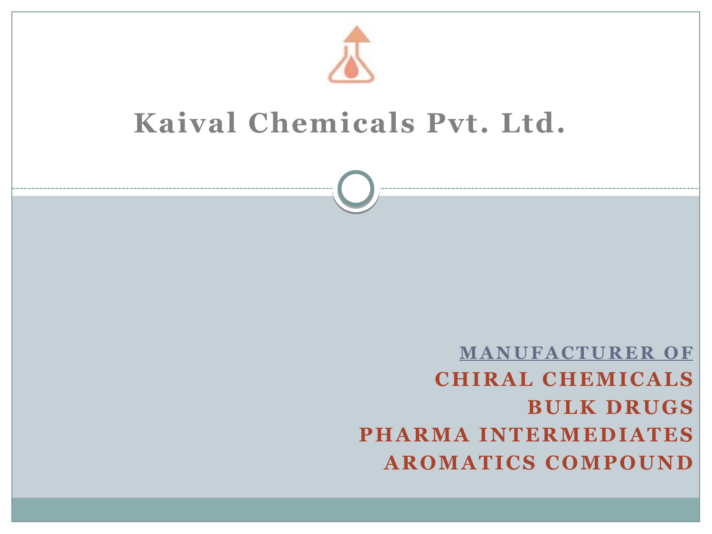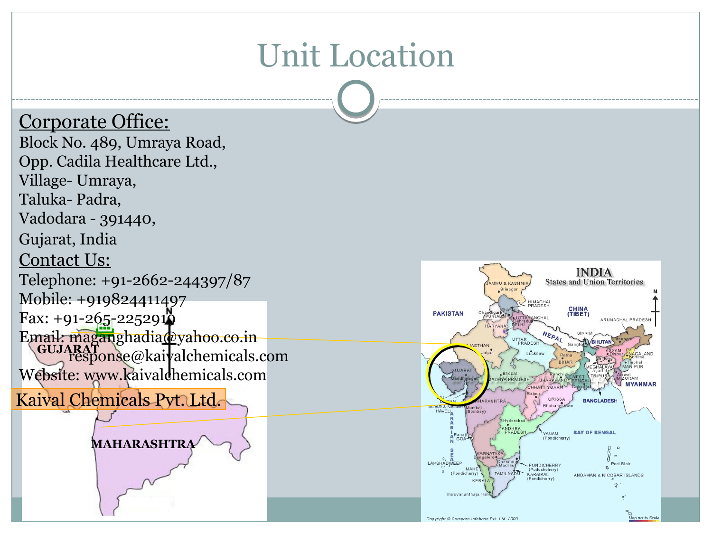### Unit Location

#### Corporate Office:

<u>kaj</u> Kaival Chemicals Pvt. Ltd. **GUJARAT** response@kaivalchemicals.com Block No. 489, Umraya Road, Opp. Cadila Healthcare Ltd., Village- Umraya, Taluka- Padra, Vadodara - 391440, Gujarat, India Contact Us: Telephone: +91-2662-244397/87 Mobile: +919824411497  $Fax: +91-265-2252912$ Email: maganghadia@yahoo.co.in Website: www.kaivaldhemicals.com

**MAHARASHTRA**

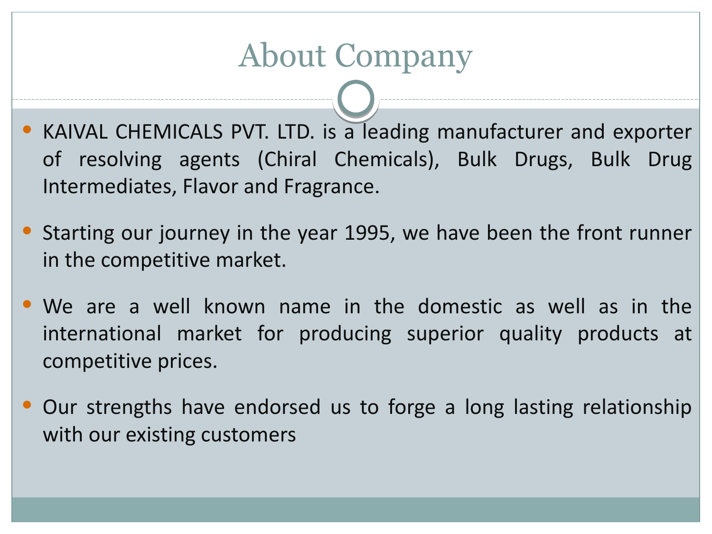## About Company

- KAIVAL CHEMICALS PVT. LTD. is a leading manufacturer and exporter of resolving agents (Chiral Chemicals), Bulk Drugs, Bulk Drug Intermediates, Flavor and Fragrance.
- Starting our journey in the year 1995, we have been the front runner in the competitive market.
- We are a well known name in the domestic as well as in the international market for producing superior quality products at competitive prices.
- Our strengths have endorsed us to forge a long lasting relationship with our existing customers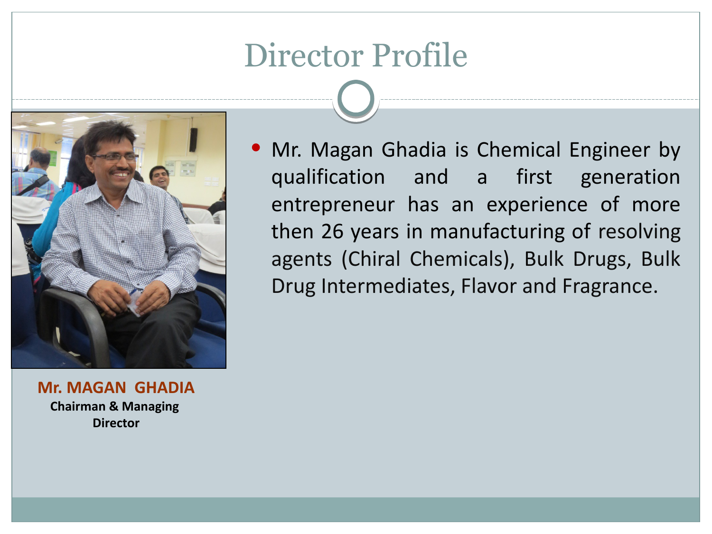### Director Profile



**Mr. MAGAN GHADIA Chairman & Managing Director**

• Mr. Magan Ghadia is Chemical Engineer by qualification and a first generation entrepreneur has an experience of more then 26 years in manufacturing of resolving agents (Chiral Chemicals), Bulk Drugs, Bulk Drug Intermediates, Flavor and Fragrance.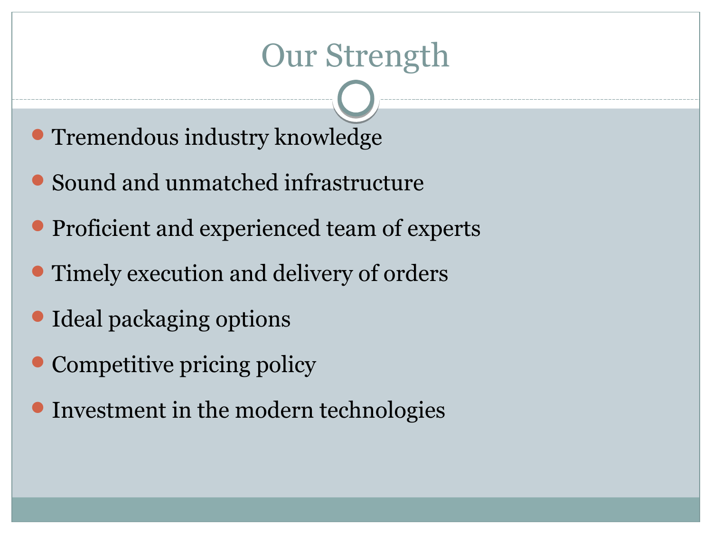### Our Strength

- Tremendous industry knowledge
- Sound and unmatched infrastructure
- **Proficient and experienced team of experts**
- Timely execution and delivery of orders
- Ideal packaging options
- Competitive pricing policy
- Investment in the modern technologies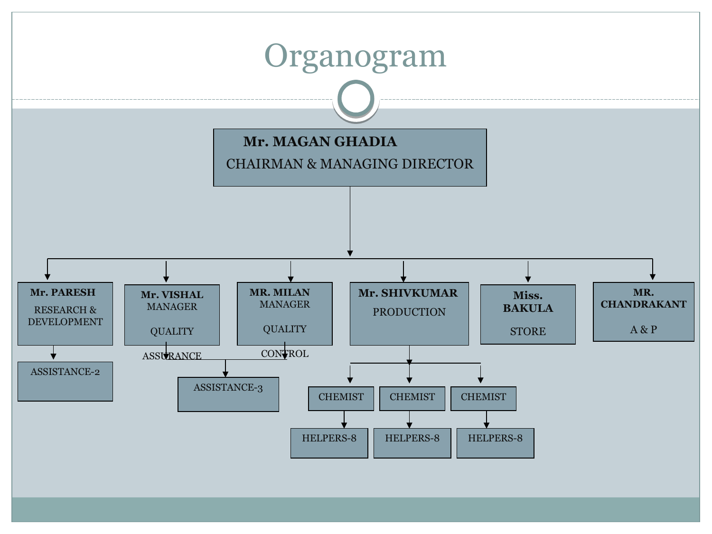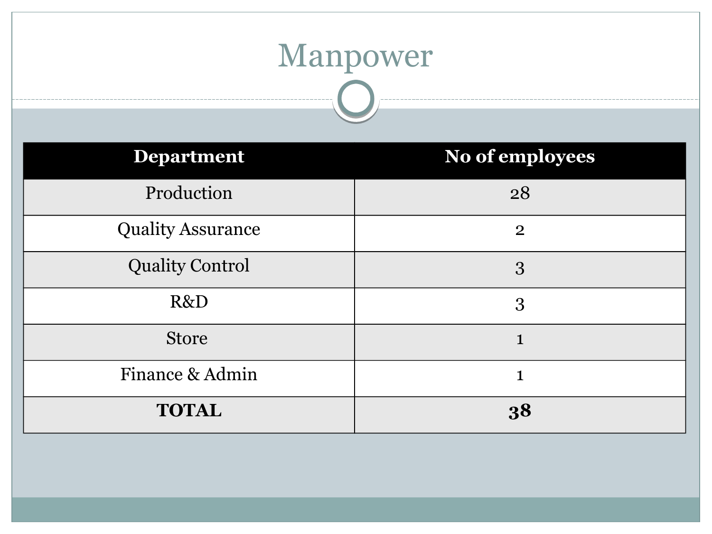#### Manpower  $\overline{\phantom{a}}$

| <b>Department</b>        | No of employees |
|--------------------------|-----------------|
| Production               | 28              |
| <b>Quality Assurance</b> | $\mathbf{2}$    |
| <b>Quality Control</b>   | 3               |
| R&D                      | 3               |
| <b>Store</b>             | 1               |
| Finance & Admin          | $\mathbf{1}$    |
| <b>TOTAL</b>             | 38              |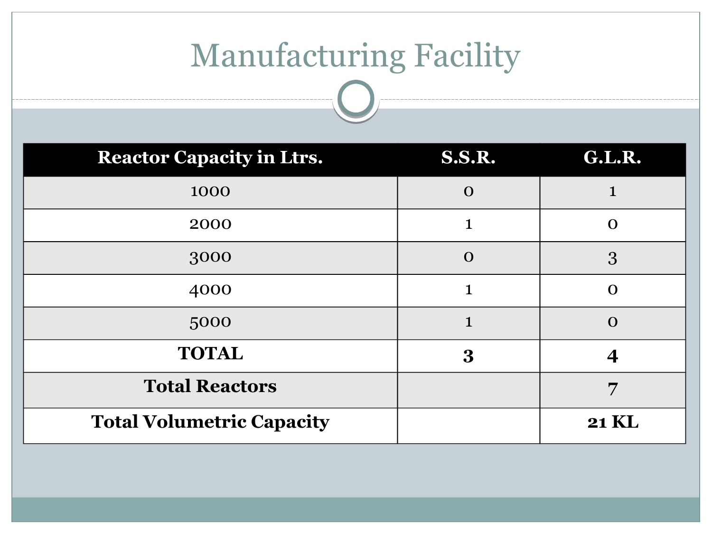## Manufacturing Facility

| <b>Reactor Capacity in Ltrs.</b> | <b>S.S.R.</b> | <b>G.L.R.</b> |
|----------------------------------|---------------|---------------|
| 1000                             | $\mathbf 0$   |               |
| 2000                             |               | $\mathbf O$   |
| 3000                             | $\mathbf 0$   | 3             |
| 4000                             | 1             | $\mathbf O$   |
| 5000                             | 1             | $\mathbf{O}$  |
| <b>TOTAL</b>                     | $\bf{3}$      |               |
| <b>Total Reactors</b>            |               | 7             |
| <b>Total Volumetric Capacity</b> |               | <b>21 KL</b>  |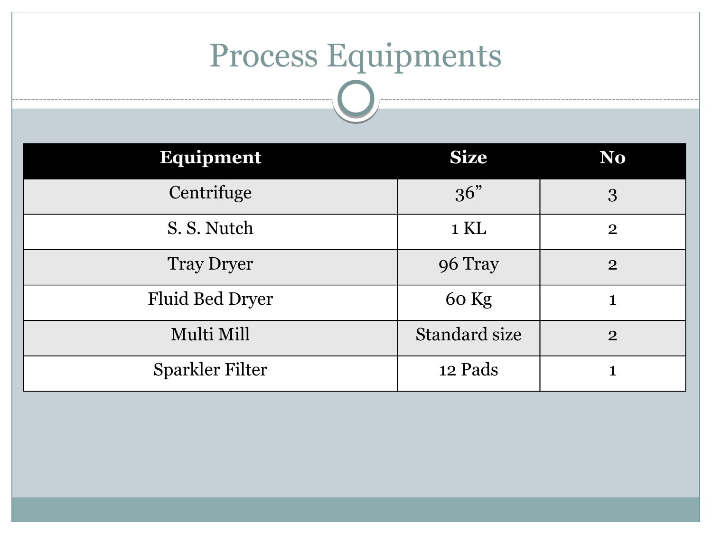# Process Equipments

| <b>Equipment</b>       | <b>Size</b>          | N <sub>o</sub> |
|------------------------|----------------------|----------------|
| Centrifuge             | 36"                  | 3              |
| S. S. Nutch            | $1 \mathrm{KL}$      | $\overline{2}$ |
| <b>Tray Dryer</b>      | 96 Tray              | $\overline{2}$ |
| <b>Fluid Bed Dryer</b> | 60 Kg                |                |
| Multi Mill             | <b>Standard size</b> | $\overline{2}$ |
| <b>Sparkler Filter</b> | 12 Pads              |                |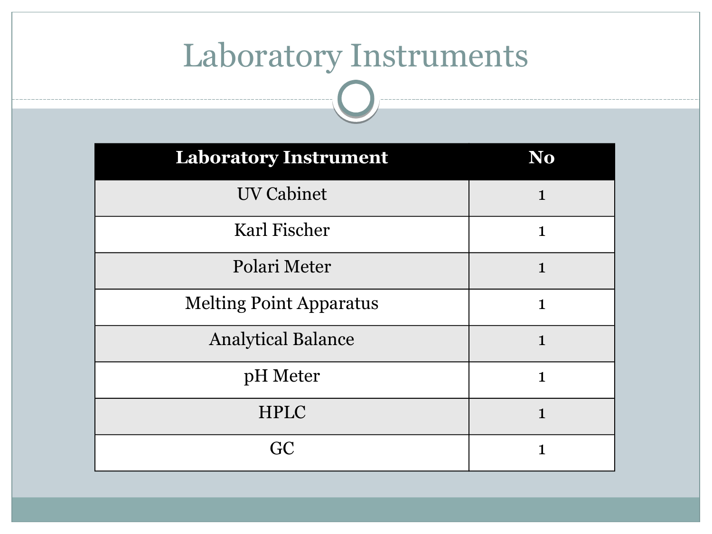# Laboratory Instruments

| <b>Laboratory Instrument</b>   | N <sub>o</sub> |
|--------------------------------|----------------|
| <b>UV Cabinet</b>              | $\mathbf{1}$   |
| Karl Fischer                   | $\mathbf{1}$   |
| Polari Meter                   | $\mathbf{1}$   |
| <b>Melting Point Apparatus</b> | $\mathbf{1}$   |
| <b>Analytical Balance</b>      | $\mathbf{1}$   |
| pH Meter                       | $\mathbf{1}$   |
| <b>HPLC</b>                    | $\mathbf{1}$   |
| GC                             | $\mathbf{1}$   |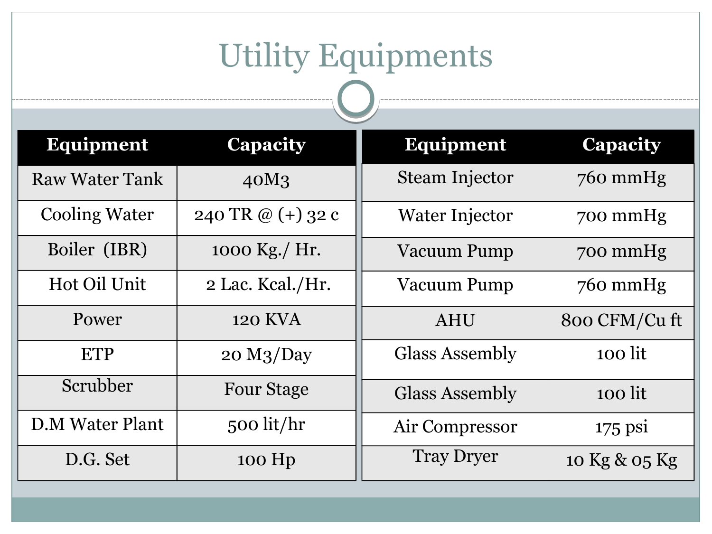# Utility Equipments

| <b>Equipment</b>       | <b>Capacity</b>        | <b>Equipment</b>      | <b>Capacity</b> |
|------------------------|------------------------|-----------------------|-----------------|
| <b>Raw Water Tank</b>  | 40M <sub>3</sub>       | <b>Steam Injector</b> | $760$ mmHg      |
| <b>Cooling Water</b>   | 240 TR @ $(+)$ 32 c    | Water Injector        | 700 mmHg        |
| Boiler (IBR)           | 1000 Kg./ Hr.          | Vacuum Pump           | 700 mmHg        |
| Hot Oil Unit           | 2 Lac. Keal./Hr.       | <b>Vacuum Pump</b>    | $760$ mmHg      |
| Power                  | <b>120 KVA</b>         | <b>AHU</b>            | 800 CFM/Cu ft   |
| <b>ETP</b>             | 20 M <sub>3</sub> /Day | <b>Glass Assembly</b> | 100 lit         |
| Scrubber               | <b>Four Stage</b>      | <b>Glass Assembly</b> | 100 lit         |
| <b>D.M Water Plant</b> | 500 lit/ $hr$          | Air Compressor        | $175$ psi       |
| D.G. Set               | $100$ Hp               | <b>Tray Dryer</b>     | 10 Kg & 05 Kg   |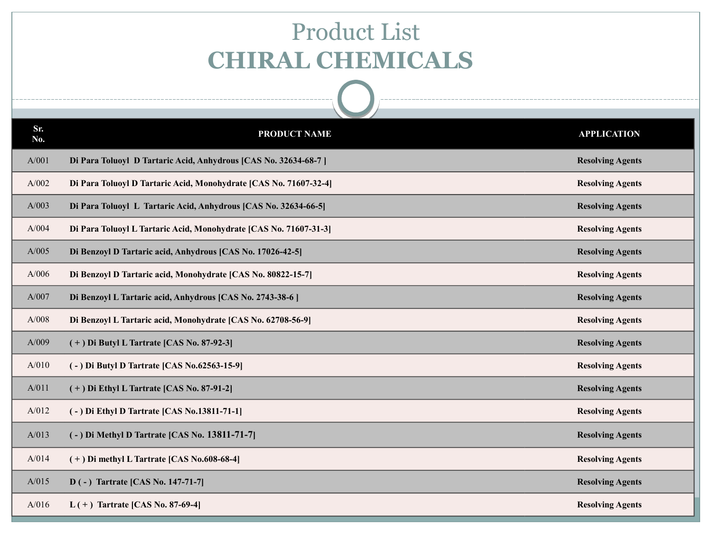#### Product List  **CHIRAL CHEMICALS**

| Sr.<br>No. | PRODUCT NAME                                                      | <b>APPLICATION</b>      |
|------------|-------------------------------------------------------------------|-------------------------|
| A/001      | Di Para Toluoyl D Tartaric Acid, Anhydrous [CAS No. 32634-68-7]   | <b>Resolving Agents</b> |
| A/002      | Di Para Toluoyl D Tartaric Acid, Monohydrate [CAS No. 71607-32-4] | <b>Resolving Agents</b> |
| A/003      | Di Para Toluoyl L Tartaric Acid, Anhydrous [CAS No. 32634-66-5]   | <b>Resolving Agents</b> |
| A/004      | Di Para Toluoyl L Tartaric Acid, Monohydrate [CAS No. 71607-31-3] | <b>Resolving Agents</b> |
| A/005      | Di Benzoyl D Tartaric acid, Anhydrous [CAS No. 17026-42-5]        | <b>Resolving Agents</b> |
| A/006      | Di Benzoyl D Tartaric acid, Monohydrate [CAS No. 80822-15-7]      | <b>Resolving Agents</b> |
| A/007      | Di Benzoyl L Tartaric acid, Anhydrous [CAS No. 2743-38-6]         | <b>Resolving Agents</b> |
| A/008      | Di Benzoyl L Tartaric acid, Monohydrate [CAS No. 62708-56-9]      | <b>Resolving Agents</b> |
| A/009      | $(+)$ Di Butyl L Tartrate [CAS No. 87-92-3]                       | <b>Resolving Agents</b> |
| A/010      | (-) Di Butyl D Tartrate [CAS No.62563-15-9]                       | <b>Resolving Agents</b> |
| A/011      | $(+)$ Di Ethyl L Tartrate [CAS No. 87-91-2]                       | <b>Resolving Agents</b> |
| A/012      | (-) Di Ethyl D Tartrate [CAS No.13811-71-1]                       | <b>Resolving Agents</b> |
| A/013      | (-) Di Methyl D Tartrate [CAS No. 13811-71-7]                     | <b>Resolving Agents</b> |
| A/014      | $(+)$ Di methyl L Tartrate [CAS No.608-68-4]                      | <b>Resolving Agents</b> |
| A/015      | D(-) Tartrate [CAS No. 147-71-7]                                  | <b>Resolving Agents</b> |
| A/016      | L(+) Tartrate [CAS No. 87-69-4]                                   | <b>Resolving Agents</b> |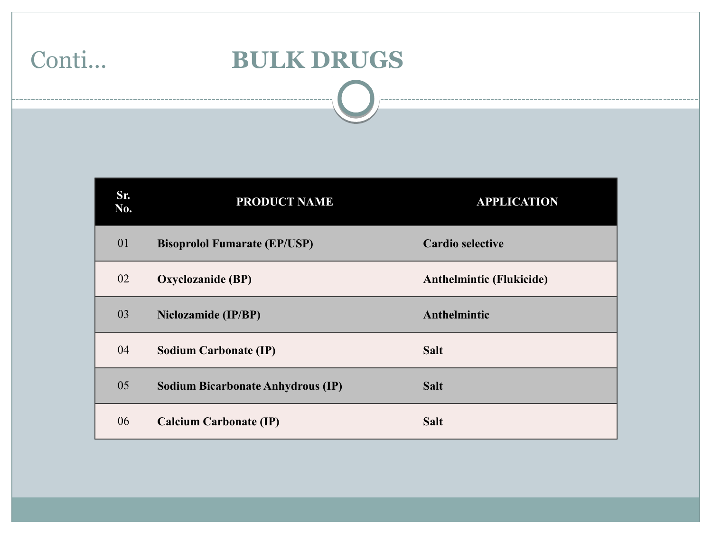# Conti... **BULK DRUGS**

| Sr.<br>No. | <b>PRODUCT NAME</b>                      | <b>APPLICATION</b>              |
|------------|------------------------------------------|---------------------------------|
| 01         | <b>Bisoprolol Fumarate (EP/USP)</b>      | <b>Cardio selective</b>         |
| 02         | Oxyclozanide (BP)                        | <b>Anthelmintic (Flukicide)</b> |
| 03         | <b>Niclozamide (IP/BP)</b>               | Anthelmintic                    |
| 04         | <b>Sodium Carbonate (IP)</b>             | <b>Salt</b>                     |
| 05         | <b>Sodium Bicarbonate Anhydrous (IP)</b> | <b>Salt</b>                     |
| 06         | <b>Calcium Carbonate (IP)</b>            | <b>Salt</b>                     |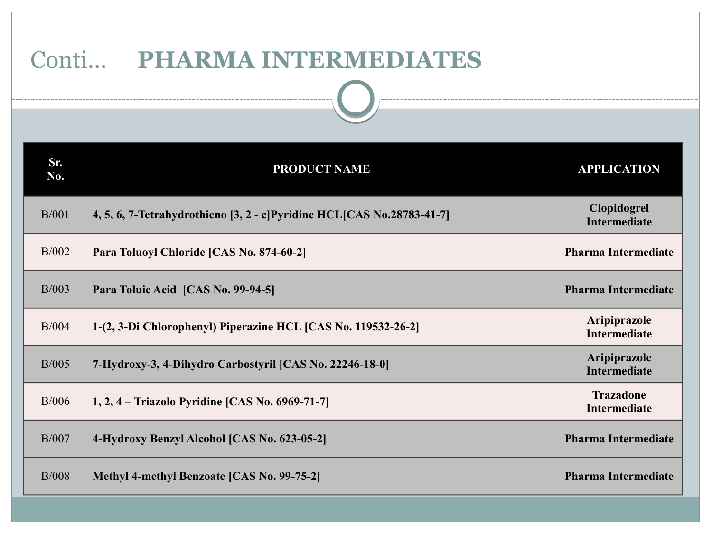| onti PHARMA INTERMEDIATES<br>________________________________ |                                                                       |                                     |
|---------------------------------------------------------------|-----------------------------------------------------------------------|-------------------------------------|
|                                                               |                                                                       |                                     |
| Sr.<br>No.                                                    | <b>PRODUCT NAME</b>                                                   | <b>APPLICATION</b>                  |
| B/001                                                         | 4, 5, 6, 7-Tetrahydrothieno [3, 2 - c]Pyridine HCL[CAS No.28783-41-7] | Clopidogrel<br><b>Intermediate</b>  |
| B/002                                                         | Para Toluoyl Chloride [CAS No. 874-60-2]                              | <b>Pharma Intermediate</b>          |
| B/003                                                         | Para Toluic Acid [CAS No. 99-94-5]                                    | <b>Pharma Intermediate</b>          |
| B/004                                                         | 1-(2, 3-Di Chlorophenyl) Piperazine HCL [CAS No. 119532-26-2]         | Aripiprazole<br><b>Intermediate</b> |
| B/005                                                         | 7-Hydroxy-3, 4-Dihydro Carbostyril [CAS No. 22246-18-0]               | Aripiprazole<br><b>Intermediate</b> |
| B/006                                                         | 1, 2, 4 – Triazolo Pyridine [CAS No. 6969-71-7]                       | <b>Trazadone</b><br>Intermediate    |
| B/007                                                         | 4-Hydroxy Benzyl Alcohol [CAS No. 623-05-2]                           | <b>Pharma Intermediate</b>          |
| B/008                                                         | Methyl 4-methyl Benzoate [CAS No. 99-75-2]                            | <b>Pharma Intermediate</b>          |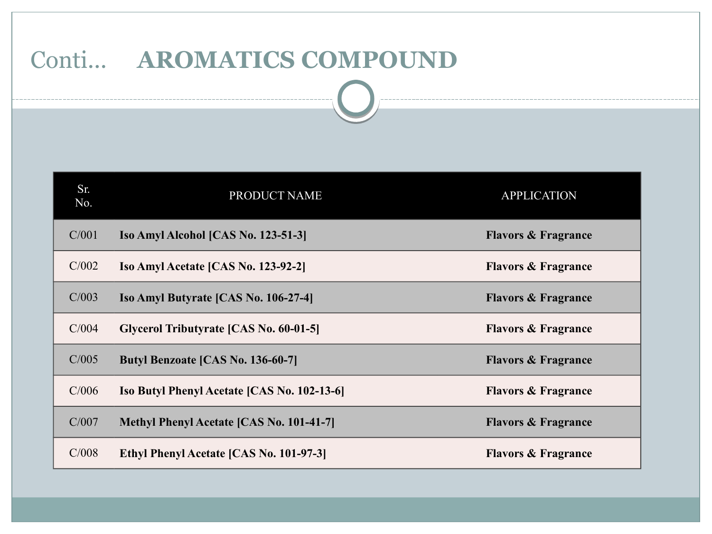#### Conti... **AROMATICS COMPOUND**

| Sr.<br>No. | <b>PRODUCT NAME</b>                                | <b>APPLICATION</b>             |
|------------|----------------------------------------------------|--------------------------------|
| C/001      | Iso Amyl Alcohol [CAS No. 123-51-3]                | <b>Flavors &amp; Fragrance</b> |
| C/002      | Iso Amyl Acetate [CAS No. 123-92-2]                | <b>Flavors &amp; Fragrance</b> |
| C/003      | Iso Amyl Butyrate [CAS No. 106-27-4]               | <b>Flavors &amp; Fragrance</b> |
| C/004      | Glycerol Tributyrate [CAS No. 60-01-5]             | <b>Flavors &amp; Fragrance</b> |
| C/005      | <b>Butyl Benzoate [CAS No. 136-60-7]</b>           | <b>Flavors &amp; Fragrance</b> |
| C/006      | <b>Iso Butyl Phenyl Acetate [CAS No. 102-13-6]</b> | <b>Flavors &amp; Fragrance</b> |
| C/007      | Methyl Phenyl Acetate [CAS No. 101-41-7]           | <b>Flavors &amp; Fragrance</b> |
| C/008      | Ethyl Phenyl Acetate [CAS No. 101-97-3]            | <b>Flavors &amp; Fragrance</b> |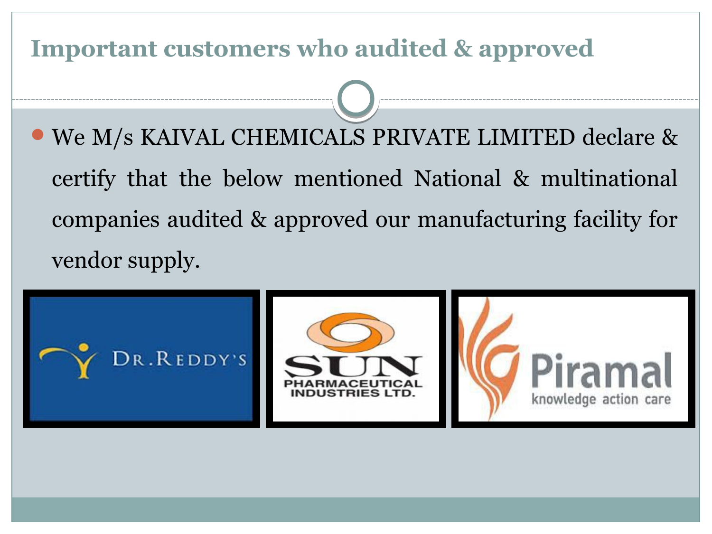#### **Important customers who audited & approved**

We M/s KAIVAL CHEMICALS PRIVATE LIMITED declare & certify that the below mentioned National & multinational companies audited & approved our manufacturing facility for vendor supply.

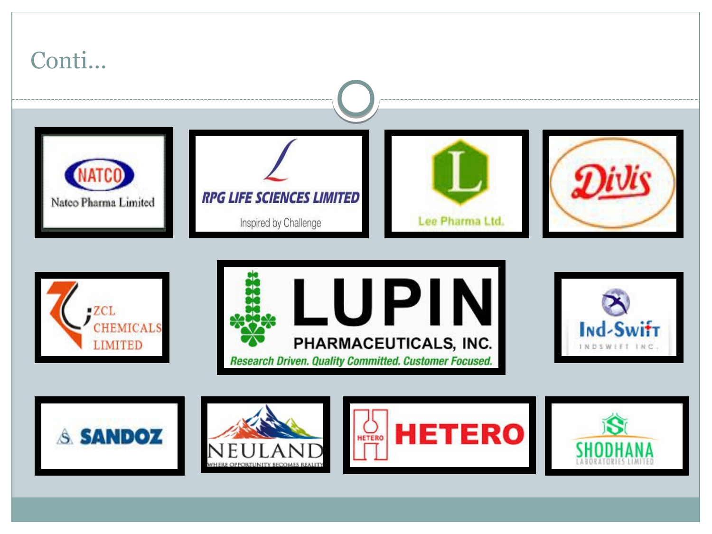